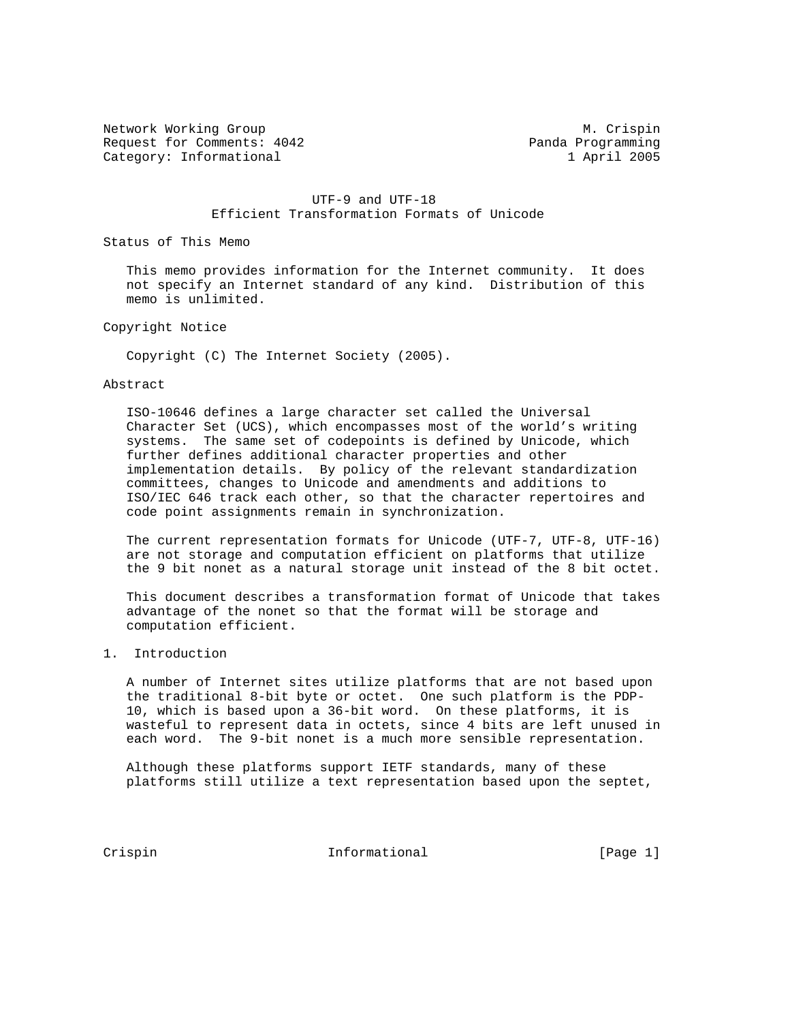Network Working Group Metwork Muslim Crispin Request for Comments: 4042 Panda Programming Category: Informational 1 April 2005

### UTF-9 and UTF-18 Efficient Transformation Formats of Unicode

Status of This Memo

 This memo provides information for the Internet community. It does not specify an Internet standard of any kind. Distribution of this memo is unlimited.

Copyright Notice

Copyright (C) The Internet Society (2005).

#### Abstract

 ISO-10646 defines a large character set called the Universal Character Set (UCS), which encompasses most of the world's writing systems. The same set of codepoints is defined by Unicode, which further defines additional character properties and other implementation details. By policy of the relevant standardization committees, changes to Unicode and amendments and additions to ISO/IEC 646 track each other, so that the character repertoires and code point assignments remain in synchronization.

 The current representation formats for Unicode (UTF-7, UTF-8, UTF-16) are not storage and computation efficient on platforms that utilize the 9 bit nonet as a natural storage unit instead of the 8 bit octet.

 This document describes a transformation format of Unicode that takes advantage of the nonet so that the format will be storage and computation efficient.

## 1. Introduction

 A number of Internet sites utilize platforms that are not based upon the traditional 8-bit byte or octet. One such platform is the PDP- 10, which is based upon a 36-bit word. On these platforms, it is wasteful to represent data in octets, since 4 bits are left unused in each word. The 9-bit nonet is a much more sensible representation.

 Although these platforms support IETF standards, many of these platforms still utilize a text representation based upon the septet,

Crispin 1nformational [Page 1]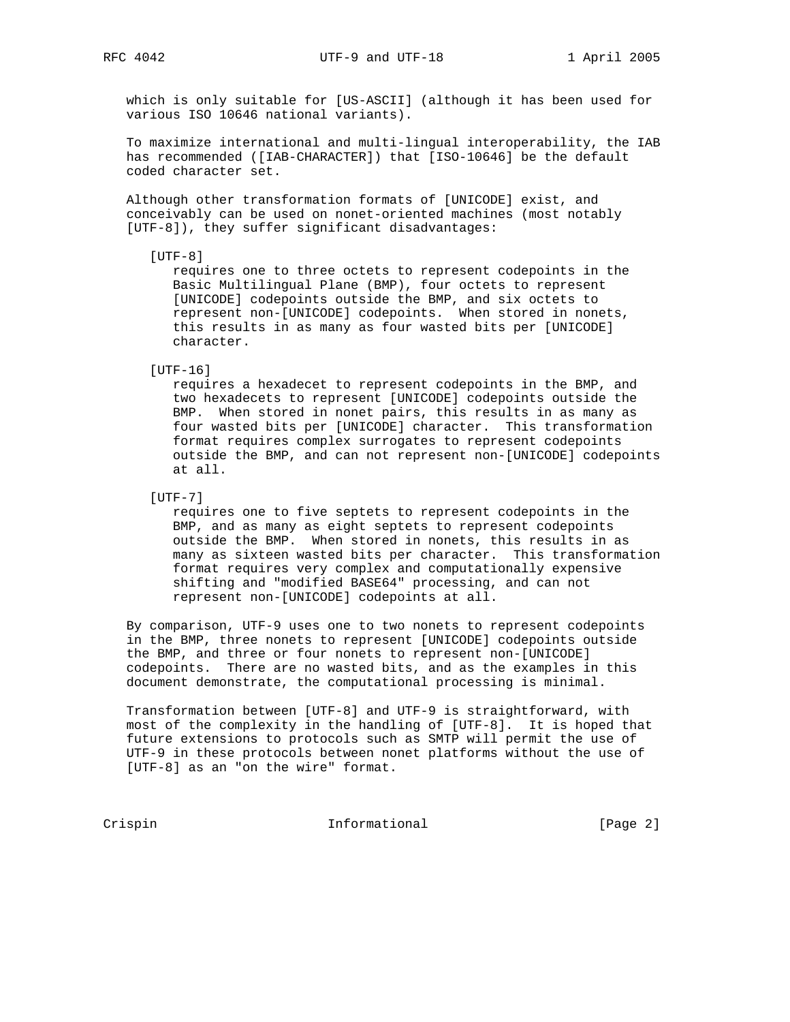which is only suitable for [US-ASCII] (although it has been used for various ISO 10646 national variants).

 To maximize international and multi-lingual interoperability, the IAB has recommended ([IAB-CHARACTER]) that [ISO-10646] be the default coded character set.

 Although other transformation formats of [UNICODE] exist, and conceivably can be used on nonet-oriented machines (most notably [UTF-8]), they suffer significant disadvantages:

 $[UTF-8]$ 

 requires one to three octets to represent codepoints in the Basic Multilingual Plane (BMP), four octets to represent [UNICODE] codepoints outside the BMP, and six octets to represent non-[UNICODE] codepoints. When stored in nonets, this results in as many as four wasted bits per [UNICODE] character.

[UTF-16]

 requires a hexadecet to represent codepoints in the BMP, and two hexadecets to represent [UNICODE] codepoints outside the BMP. When stored in nonet pairs, this results in as many as four wasted bits per [UNICODE] character. This transformation format requires complex surrogates to represent codepoints outside the BMP, and can not represent non-[UNICODE] codepoints at all.

[UTF-7]

 requires one to five septets to represent codepoints in the BMP, and as many as eight septets to represent codepoints outside the BMP. When stored in nonets, this results in as many as sixteen wasted bits per character. This transformation format requires very complex and computationally expensive shifting and "modified BASE64" processing, and can not represent non-[UNICODE] codepoints at all.

 By comparison, UTF-9 uses one to two nonets to represent codepoints in the BMP, three nonets to represent [UNICODE] codepoints outside the BMP, and three or four nonets to represent non-[UNICODE] codepoints. There are no wasted bits, and as the examples in this document demonstrate, the computational processing is minimal.

 Transformation between [UTF-8] and UTF-9 is straightforward, with most of the complexity in the handling of [UTF-8]. It is hoped that future extensions to protocols such as SMTP will permit the use of UTF-9 in these protocols between nonet platforms without the use of [UTF-8] as an "on the wire" format.

Crispin 1nformational [Page 2]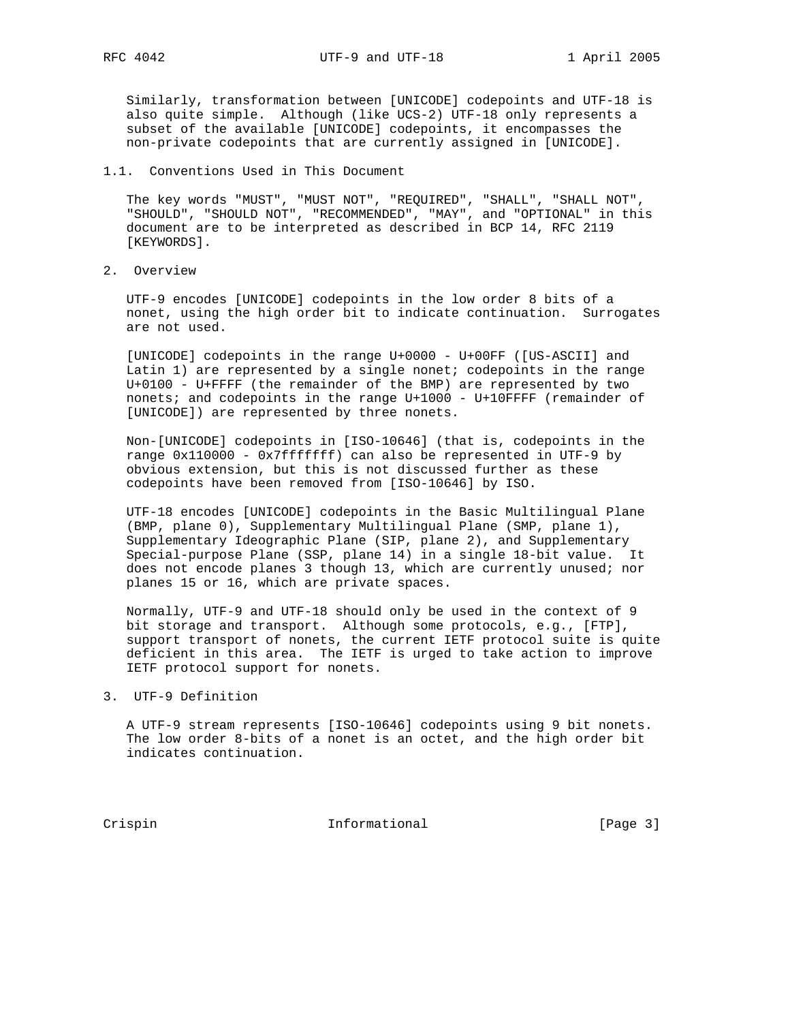Similarly, transformation between [UNICODE] codepoints and UTF-18 is also quite simple. Although (like UCS-2) UTF-18 only represents a subset of the available [UNICODE] codepoints, it encompasses the non-private codepoints that are currently assigned in [UNICODE].

### 1.1. Conventions Used in This Document

 The key words "MUST", "MUST NOT", "REQUIRED", "SHALL", "SHALL NOT", "SHOULD", "SHOULD NOT", "RECOMMENDED", "MAY", and "OPTIONAL" in this document are to be interpreted as described in BCP 14, RFC 2119 [KEYWORDS].

2. Overview

 UTF-9 encodes [UNICODE] codepoints in the low order 8 bits of a nonet, using the high order bit to indicate continuation. Surrogates are not used.

 [UNICODE] codepoints in the range U+0000 - U+00FF ([US-ASCII] and Latin 1) are represented by a single nonet; codepoints in the range U+0100 - U+FFFF (the remainder of the BMP) are represented by two nonets; and codepoints in the range U+1000 - U+10FFFF (remainder of [UNICODE]) are represented by three nonets.

 Non-[UNICODE] codepoints in [ISO-10646] (that is, codepoints in the range 0x110000 - 0x7fffffff) can also be represented in UTF-9 by obvious extension, but this is not discussed further as these codepoints have been removed from [ISO-10646] by ISO.

 UTF-18 encodes [UNICODE] codepoints in the Basic Multilingual Plane (BMP, plane 0), Supplementary Multilingual Plane (SMP, plane 1), Supplementary Ideographic Plane (SIP, plane 2), and Supplementary Special-purpose Plane (SSP, plane 14) in a single 18-bit value. It does not encode planes 3 though 13, which are currently unused; nor planes 15 or 16, which are private spaces.

 Normally, UTF-9 and UTF-18 should only be used in the context of 9 bit storage and transport. Although some protocols, e.g., [FTP], support transport of nonets, the current IETF protocol suite is quite deficient in this area. The IETF is urged to take action to improve IETF protocol support for nonets.

3. UTF-9 Definition

 A UTF-9 stream represents [ISO-10646] codepoints using 9 bit nonets. The low order 8-bits of a nonet is an octet, and the high order bit indicates continuation.

Crispin 1nformational [Page 3]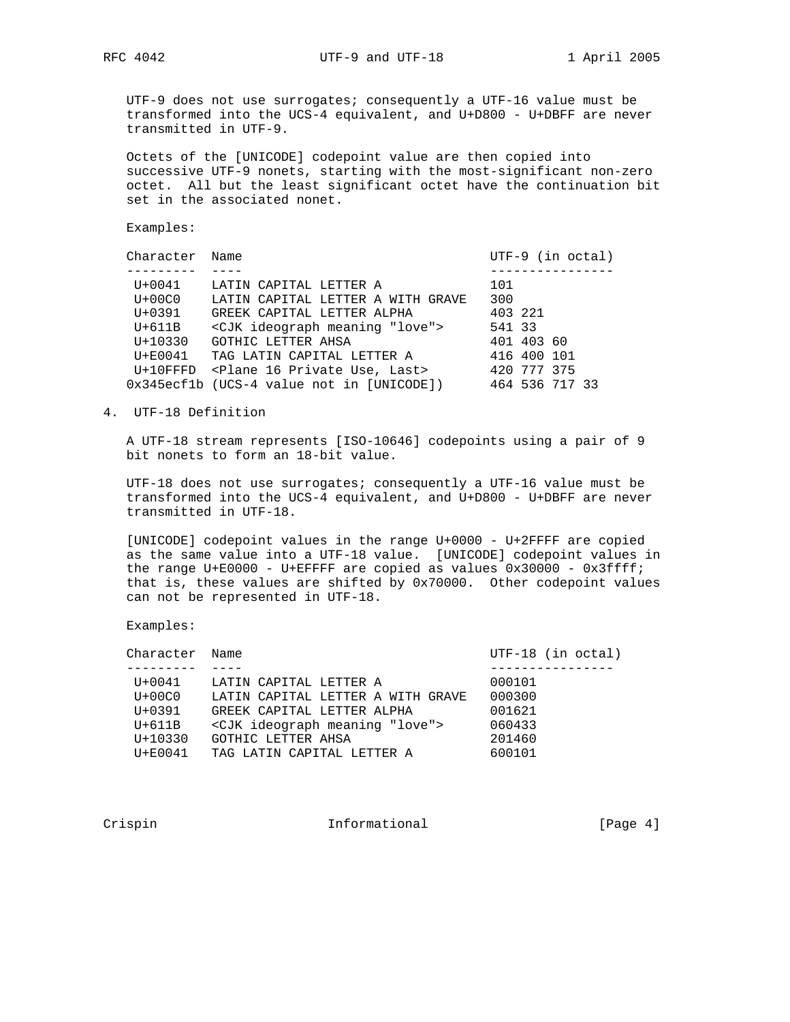UTF-9 does not use surrogates; consequently a UTF-16 value must be transformed into the UCS-4 equivalent, and U+D800 - U+DBFF are never transmitted in UTF-9.

 Octets of the [UNICODE] codepoint value are then copied into successive UTF-9 nonets, starting with the most-significant non-zero octet. All but the least significant octet have the continuation bit set in the associated nonet.

Examples:

| Character   | Name                                                      | $UTF-9$ (in octal) |
|-------------|-----------------------------------------------------------|--------------------|
|             |                                                           |                    |
| $U + 0041$  | LATIN CAPITAL LETTER A                                    | 101                |
| $U+00C0$    | LATIN CAPITAL LETTER A WITH GRAVE                         | 300                |
| $U + 0391$  | GREEK CAPITAL LETTER ALPHA                                | 403 221            |
| $U+611B$    | <cjk "love"="" ideograph="" meaning=""></cjk>             | 541 33             |
| $U + 10330$ | GOTHIC LETTER AHSA                                        | 401 403 60         |
| $U + E0041$ | TAG LATIN CAPITAL LETTER A                                | 416 400 101        |
|             | U+10FFFD <plane 16="" last="" private="" use,=""></plane> | 420 777 375        |
|             | 0x345ecf1b (UCS-4 value not in [UNICODE])                 | 464 536 717 33     |

# 4. UTF-18 Definition

 A UTF-18 stream represents [ISO-10646] codepoints using a pair of 9 bit nonets to form an 18-bit value.

 UTF-18 does not use surrogates; consequently a UTF-16 value must be transformed into the UCS-4 equivalent, and U+D800 - U+DBFF are never transmitted in UTF-18.

 [UNICODE] codepoint values in the range U+0000 - U+2FFFF are copied as the same value into a UTF-18 value. [UNICODE] codepoint values in the range U+E0000 - U+EFFFF are copied as values  $0x30000 - 0x3f$ fff; that is, these values are shifted by 0x70000. Other codepoint values can not be represented in UTF-18.

Examples:

| Character Name |                                               | $UTF-18$ (in octal) |
|----------------|-----------------------------------------------|---------------------|
|                |                                               |                     |
| $U + 0041$     | LATIN CAPITAL LETTER A                        | 000101              |
| $U+00C0$       | LATIN CAPITAL LETTER A WITH GRAVE             | 000300              |
| $U + 0391$     | GREEK CAPITAL LETTER ALPHA                    | 001621              |
| $U+611B$       | <cjk "love"="" ideograph="" meaning=""></cjk> | 060433              |
| $U + 10330$    | GOTHIC LETTER AHSA                            | 201460              |
| $U + E0041$    | TAG LATIN CAPITAL LETTER A                    | 600101              |
|                |                                               |                     |

Crispin 1nformational [Page 4]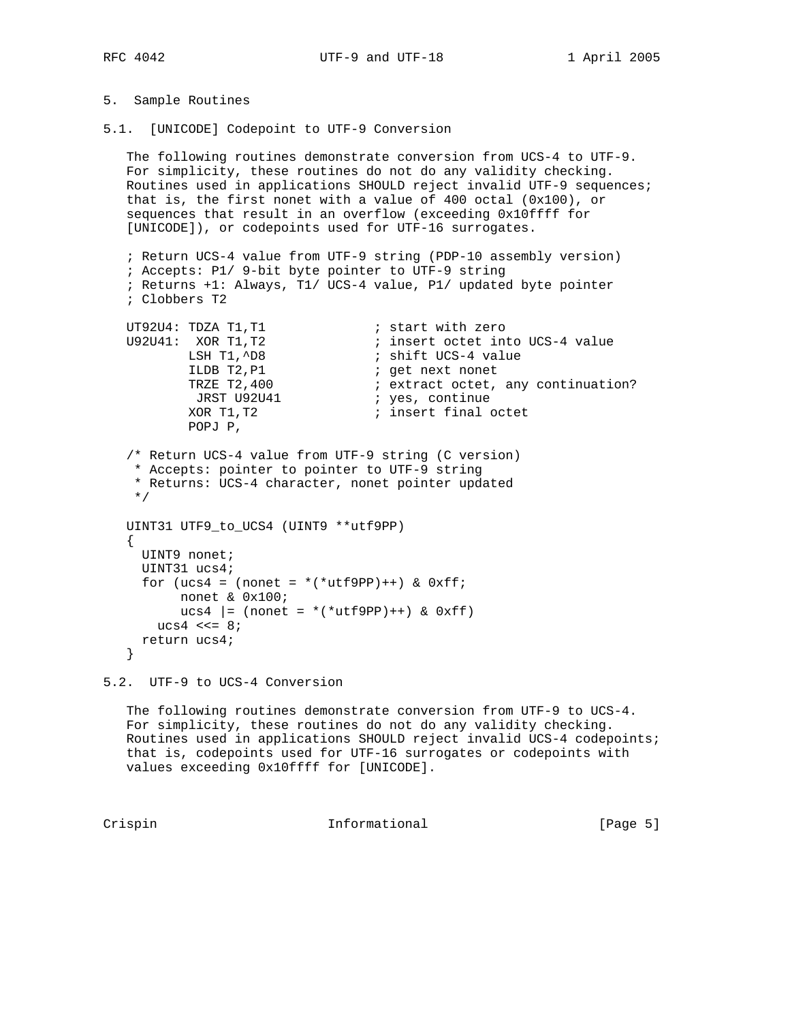# 5. Sample Routines

5.1. [UNICODE] Codepoint to UTF-9 Conversion

 The following routines demonstrate conversion from UCS-4 to UTF-9. For simplicity, these routines do not do any validity checking. Routines used in applications SHOULD reject invalid UTF-9 sequences; that is, the first nonet with a value of 400 octal (0x100), or sequences that result in an overflow (exceeding 0x10ffff for [UNICODE]), or codepoints used for UTF-16 surrogates.

```
 ; Return UCS-4 value from UTF-9 string (PDP-10 assembly version)
   ; Accepts: P1/ 9-bit byte pointer to UTF-9 string
   ; Returns +1: Always, T1/ UCS-4 value, P1/ updated byte pointer
   ; Clobbers T2
UT92U4: TDZA T1, T1 interval is start with zero
```

| U92U41: XOR T1.T2  | ; insert octet into UCS-4 value    |
|--------------------|------------------------------------|
| LSH T1,^D8         | ; shift UCS-4 value                |
| ILDB T2, P1        | ; get next nonet                   |
| TRZE T2,400        | ; extract octet, any continuation? |
| <b>JRST U92U41</b> | ; yes, continue                    |
| XOR T1,T2          | ; insert final octet               |
| POPJ P,            |                                    |

```
 /* Return UCS-4 value from UTF-9 string (C version)
 * Accepts: pointer to pointer to UTF-9 string
  * Returns: UCS-4 character, nonet pointer updated
 */
```

```
 UINT31 UTF9_to_UCS4 (UINT9 **utf9PP)
 {
   UINT9 nonet;
  UINT31 ucs4;
  for (ucs4 = (nonet = *(\text{wtf9PP})++) & 0 \text{xfi};
        nonet & 0x100;
       ucs4 |= (nonet = *(*utf9PP)++) & 0xff)
    ucs4 \leq s = 8;
   return ucs4;
 }
```
5.2. UTF-9 to UCS-4 Conversion

 The following routines demonstrate conversion from UTF-9 to UCS-4. For simplicity, these routines do not do any validity checking. Routines used in applications SHOULD reject invalid UCS-4 codepoints; that is, codepoints used for UTF-16 surrogates or codepoints with values exceeding 0x10ffff for [UNICODE].

Crispin 1nformational [Page 5]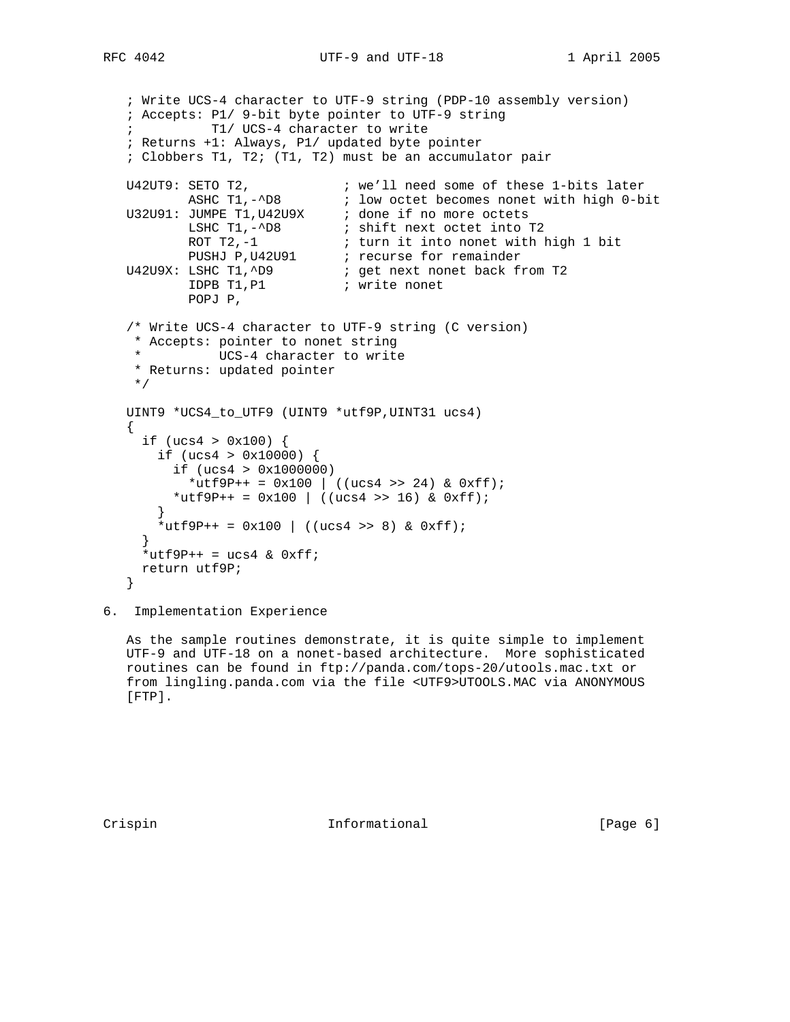RFC 4042 **UTF-9** and UTF-18 1 April 2005

```
 ; Write UCS-4 character to UTF-9 string (PDP-10 assembly version)
   ; Accepts: P1/ 9-bit byte pointer to UTF-9 string
             ; T1/ UCS-4 character to write
   ; Returns +1: Always, P1/ updated byte pointer
   ; Clobbers T1, T2; (T1, T2) must be an accumulator pair
U42UT9: SETO T2, \qquad \qquad ; we'll need some of these 1-bits later
ASHC T1,-^D8 \qquad \qquad ; \qquad \text{low octet becomes nonet with high 0-bit}U32U91: JUMPE T1, U42U9X ; done if no more octets
LSHC T1,-^D8 \qquad ; shift next octet into T2
ROT T2,-1 \qquad \qquad ; turn it into nonet with high 1 bit
PUSHJ P,U42U91 ; recurse for remainder
U42U9X: LSHC T1,^D9 \qquad \qquad ; get next nonet back from T2
IDPB T1, P1 (a) i write nonet
 POPJ P,
   /* Write UCS-4 character to UTF-9 string (C version)
    * Accepts: pointer to nonet string
    * UCS-4 character to write
    * Returns: updated pointer
    */
   UINT9 *UCS4_to_UTF9 (UINT9 *utf9P,UINT31 ucs4)
 {
    if (ucs4 > 0x100) {
       if (ucs4 > 0x10000) {
         if (ucs4 > 0x1000000)
         *utf9P++ = 0x100 | ((ucs4 >> 24) & 0xff);
        *utf9P++ = 0x100 | ((ucs4 >> 16) & 0xff);
 }
      *utf9P++ = 0x100 | ((ucs4 >> 8) & 0xff);
     }
    *utf9P++ = ucs4 & 0xff;
     return utf9P;
   }
```
6. Implementation Experience

As the sample routines demonstrate, it is quite simple to implement UTF-9 and UTF-18 on a nonet-based architecture. More sophisticated routines can be found in ftp://panda.com/tops-20/utools.mac.txt or from lingling.panda.com via the file <UTF9>UTOOLS.MAC via ANONYMOUS [FTP].

Crispin 1nformational [Page 6]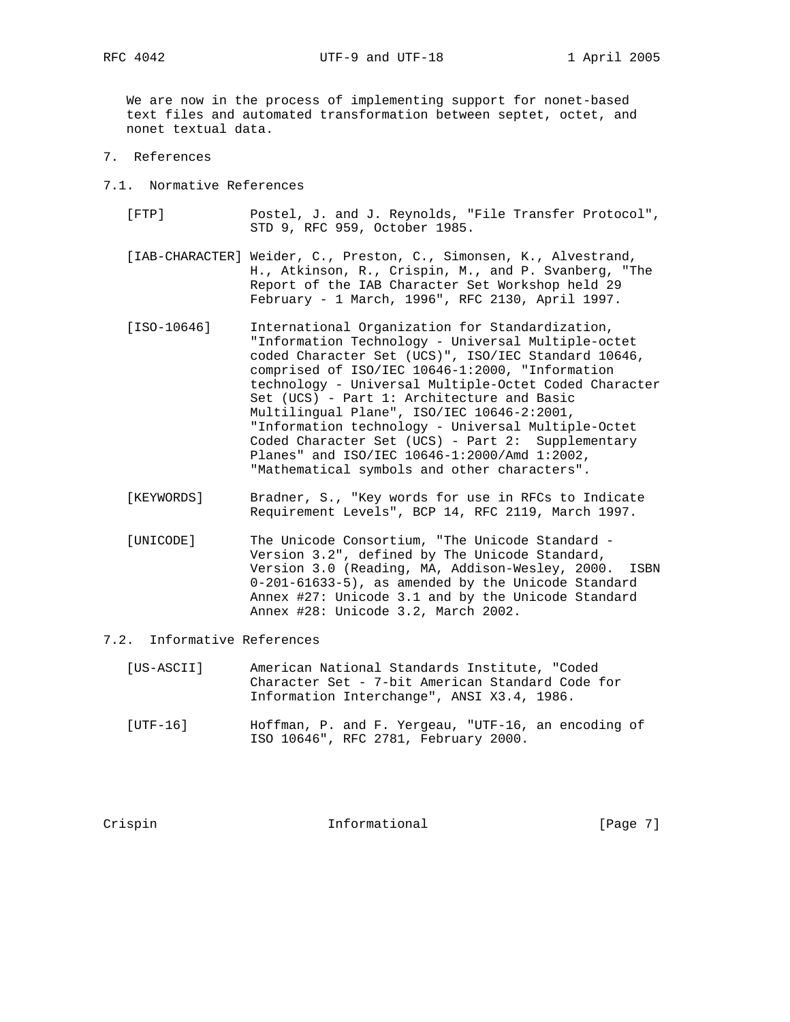RFC 4042 **UTF-9** and UTF-18 1 April 2005

 We are now in the process of implementing support for nonet-based text files and automated transformation between septet, octet, and nonet textual data.

- 7. References
- 7.1. Normative References
	- [FTP] Postel, J. and J. Reynolds, "File Transfer Protocol", STD 9, RFC 959, October 1985.
	- [IAB-CHARACTER] Weider, C., Preston, C., Simonsen, K., Alvestrand, H., Atkinson, R., Crispin, M., and P. Svanberg, "The Report of the IAB Character Set Workshop held 29 February - 1 March, 1996", RFC 2130, April 1997.
	- [ISO-10646] International Organization for Standardization, "Information Technology - Universal Multiple-octet coded Character Set (UCS)", ISO/IEC Standard 10646, comprised of ISO/IEC 10646-1:2000, "Information technology - Universal Multiple-Octet Coded Character Set (UCS) - Part 1: Architecture and Basic Multilingual Plane", ISO/IEC 10646-2:2001, "Information technology - Universal Multiple-Octet Coded Character Set (UCS) - Part 2: Supplementary Planes" and ISO/IEC 10646-1:2000/Amd 1:2002, "Mathematical symbols and other characters".
	- [KEYWORDS] Bradner, S., "Key words for use in RFCs to Indicate Requirement Levels", BCP 14, RFC 2119, March 1997.
	- [UNICODE] The Unicode Consortium, "The Unicode Standard Version 3.2", defined by The Unicode Standard, Version 3.0 (Reading, MA, Addison-Wesley, 2000. ISBN 0-201-61633-5), as amended by the Unicode Standard Annex #27: Unicode 3.1 and by the Unicode Standard Annex #28: Unicode 3.2, March 2002.

### 7.2. Informative References

- [US-ASCII] American National Standards Institute, "Coded Character Set - 7-bit American Standard Code for Information Interchange", ANSI X3.4, 1986.
- [UTF-16] Hoffman, P. and F. Yergeau, "UTF-16, an encoding of ISO 10646", RFC 2781, February 2000.

Crispin 1nformational [Page 7]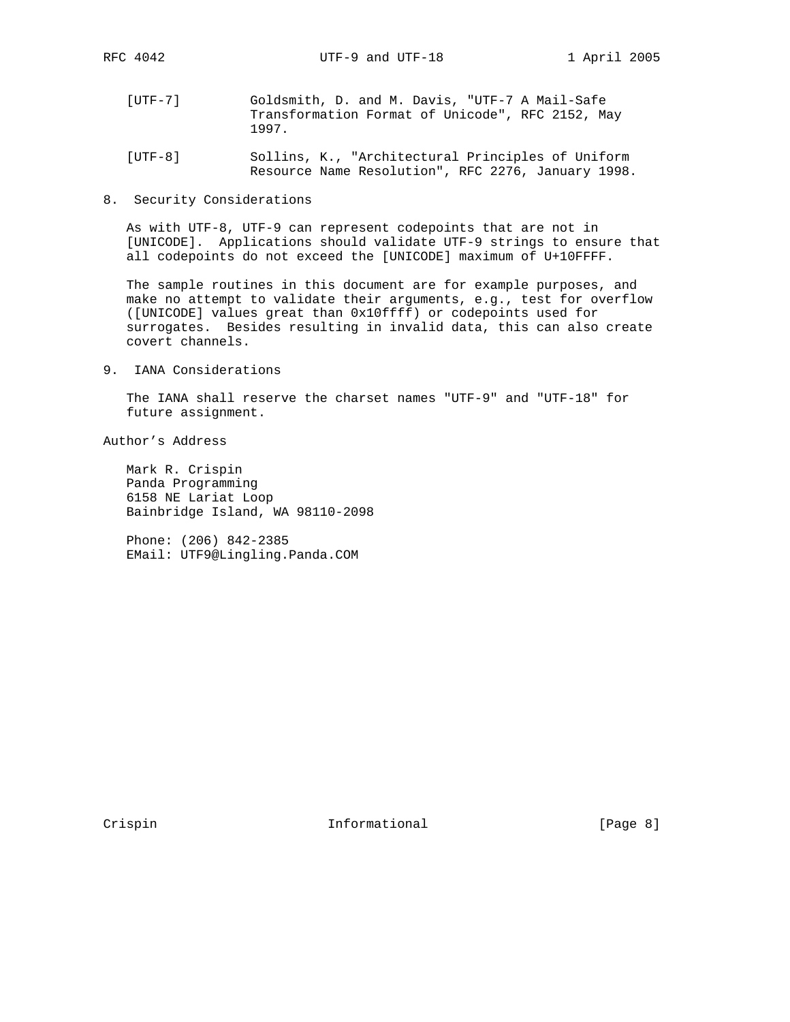- [UTF-7] Goldsmith, D. and M. Davis, "UTF-7 A Mail-Safe Transformation Format of Unicode", RFC 2152, May 1997.
- [UTF-8] Sollins, K., "Architectural Principles of Uniform Resource Name Resolution", RFC 2276, January 1998.
- 8. Security Considerations

 As with UTF-8, UTF-9 can represent codepoints that are not in [UNICODE]. Applications should validate UTF-9 strings to ensure that all codepoints do not exceed the [UNICODE] maximum of U+10FFFF.

 The sample routines in this document are for example purposes, and make no attempt to validate their arguments, e.g., test for overflow ([UNICODE] values great than 0x10ffff) or codepoints used for surrogates. Besides resulting in invalid data, this can also create covert channels.

9. IANA Considerations

 The IANA shall reserve the charset names "UTF-9" and "UTF-18" for future assignment.

Author's Address

 Mark R. Crispin Panda Programming 6158 NE Lariat Loop Bainbridge Island, WA 98110-2098

 Phone: (206) 842-2385 EMail: UTF9@Lingling.Panda.COM

Crispin 1nformational [Page 8]